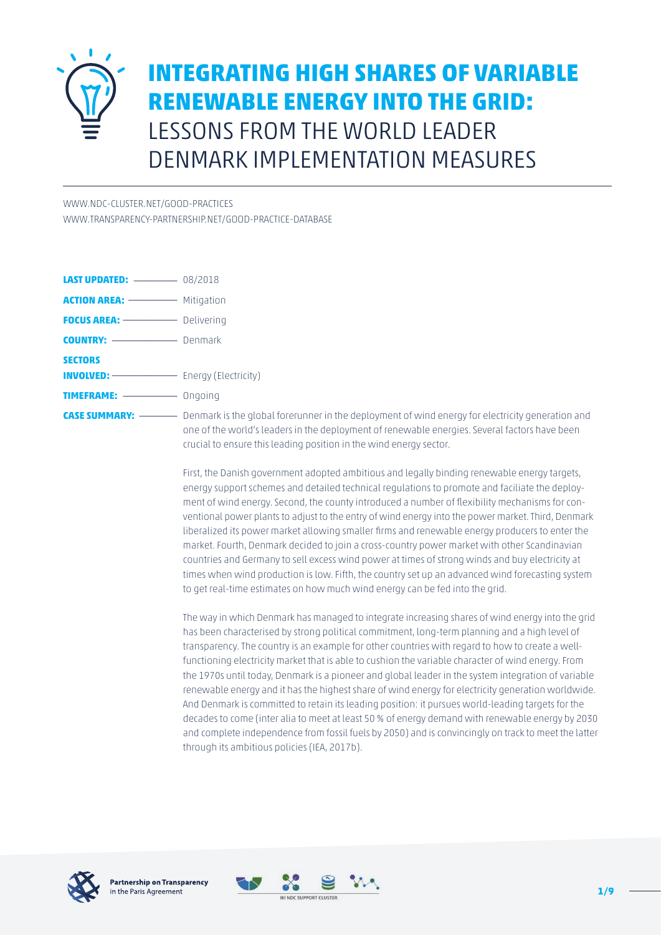

# **INTEGRATING HIGH SHARES OF VARIABLE RENEWABLE ENERGY INTO THE GRID:** LESSONS FROM THE WORLD LEADER DENMARK IMPLEMENTATION MEASURES

[WWW.NDC-CLUSTER.NET/GOOD-PRACTICES](http://www.ndc-cluster.net/good-practices)

[WWW.TRANSPARENCY-PARTNERSHIP.NET/GOOD-PRACTICE-DATABASE](https://www.transparency-partnership.net/good-practice-database)

| <b>ACTION AREA:</b> ------------ Mitigation          |                    |
|------------------------------------------------------|--------------------|
| <b>FOCUS AREA:</b> Delivering                        |                    |
| <b>COUNTRY:</b> ---------------------- Denmark       |                    |
| <b>SECTORS</b>                                       |                    |
|                                                      |                    |
|                                                      |                    |
| <b>CASE SUMMARY:</b> ------------ Denmark is the glo | one of the world's |

**CASE SUMMARY:** \_\_\_\_\_\_\_ Denmark is the global forerunner in the deployment of wind energy for electricity generation and I's leaders in the deployment of renewable energies. Several factors have been crucial to ensure this leading position in the wind energy sector.

First, the Danish government adopted ambitious and legally binding renewable energy targets, energy support schemes and detailed technical regulations to promote and faciliate the deployment of wind energy. Second, the county introduced a number of flexibility mechanisms for conventional power plants to adjust to the entry of wind energy into the power market. Third, Denmark liberalized its power market allowing smaller firms and renewable energy producers to enter the market. Fourth, Denmark decided to join a cross-country power market with other Scandinavian countries and Germany to sell excess wind power at times of strong winds and buy electricity at times when wind production is low. Fifth, the country set up an advanced wind forecasting system to get real-time estimates on how much wind energy can be fed into the grid.

The way in which Denmark has managed to integrate increasing shares of wind energy into the grid has been characterised by strong political commitment, long-term planning and a high level of transparency. The country is an example for other countries with regard to how to create a wellfunctioning electricity market that is able to cushion the variable character of wind energy. From the 1970s until today, Denmark is a pioneer and global leader in the system integration of variable renewable energy and it has the highest share of wind energy for electricity generation worldwide. And Denmark is committed to retain its leading position: it pursues world-leading targets for the decades to come (inter alia to meet at least 50 % of energy demand with renewable energy by 2030 and complete independence from fossil fuels by 2050) and is convincingly on track to meet the latter through its ambitious policies (IEA, 2017b).



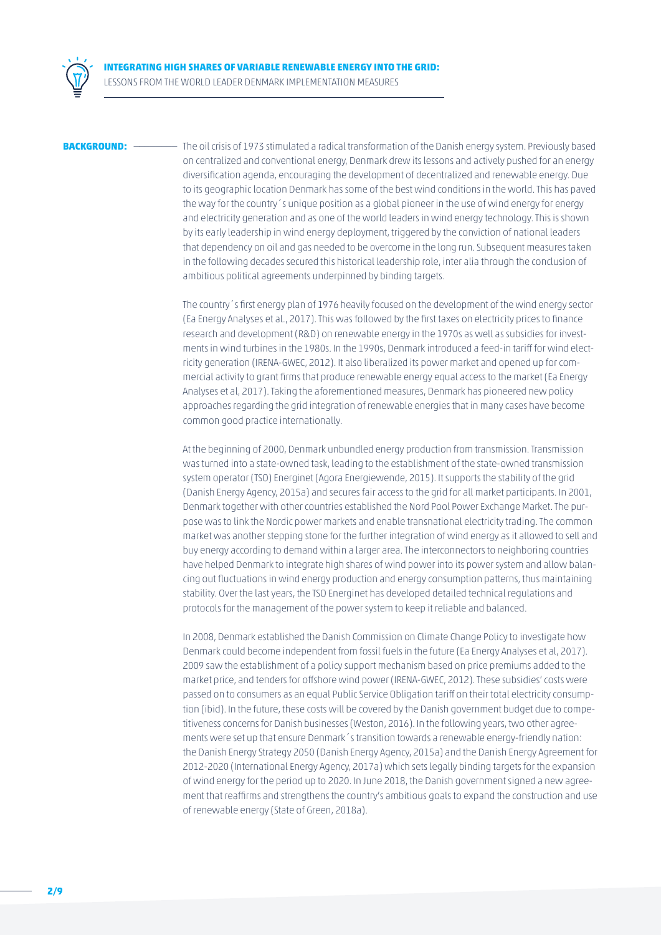

**BACKGROUND:** \_\_\_\_\_\_\_\_ The oil crisis of 1973 stimulated a radical transformation of the Danish energy system. Previously based on centralized and conventional energy, Denmark drew its lessons and actively pushed for an energy diversification agenda, encouraging the development of decentralized and renewable energy. Due to its geographic location Denmark has some of the best wind conditions in the world. This has paved the way for the country´s unique position as a global pioneer in the use of wind energy for energy and electricity generation and as one of the world leaders in wind energy technology. This is shown by its early leadership in wind energy deployment, triggered by the conviction of national leaders that dependency on oil and gas needed to be overcome in the long run. Subsequent measures taken in the following decades secured this historical leadership role, inter alia through the conclusion of ambitious political agreements underpinned by binding targets.

> The country´s first energy plan of 1976 heavily focused on the development of the wind energy sector (Ea Energy Analyses et al., 2017). This was followed by the first taxes on electricity prices to finance research and development (R&D) on renewable energy in the 1970s as well as subsidies for investments in wind turbines in the 1980s. In the 1990s, Denmark introduced a feed-in tariff for wind electricity generation (IRENA-GWEC, 2012). It also liberalized its power market and opened up for commercial activity to grant firms that produce renewable energy equal access to the market (Ea Energy Analyses et al, 2017). Taking the aforementioned measures, Denmark has pioneered new policy approaches regarding the grid integration of renewable energies that in many cases have become common good practice internationally.

At the beginning of 2000, Denmark unbundled energy production from transmission. Transmission was turned into a state-owned task, leading to the establishment of the state-owned transmission system operator (TSO) Energinet (Agora Energiewende, 2015). It supports the stability of the grid (Danish Energy Agency, 2015a) and secures fair access to the grid for all market participants. In 2001, Denmark together with other countries established the Nord Pool Power Exchange Market. The purpose was to link the Nordic power markets and enable transnational electricity trading. The common market was another stepping stone for the further integration of wind energy as it allowed to sell and buy energy according to demand within a larger area. The interconnectors to neighboring countries have helped Denmark to integrate high shares of wind power into its power system and allow balancing out fluctuations in wind energy production and energy consumption patterns, thus maintaining stability. Over the last years, the TSO Energinet has developed detailed technical regulations and protocols for the management of the power system to keep it reliable and balanced.

In 2008, Denmark established the Danish Commission on Climate Change Policy to investigate how Denmark could become independent from fossil fuels in the future (Ea Energy Analyses et al, 2017). 2009 saw the establishment of a policy support mechanism based on price premiums added to the market price, and tenders for offshore wind power (IRENA-GWEC, 2012). These subsidies' costs were passed on to consumers as an equal Public Service Obligation tariff on their total electricity consumption (ibid). In the future, these costs will be covered by the Danish government budget due to competitiveness concerns for Danish businesses (Weston, 2016). In the following years, two other agreements were set up that ensure Denmark´s transition towards a renewable energy-friendly nation: the Danish Energy Strategy 2050 (Danish Energy Agency, 2015a) and the Danish Energy Agreement for 2012-2020 (International Energy Agency, 2017a) which sets legally binding targets for the expansion of wind energy for the period up to 2020. In June 2018, the Danish government signed a new agreement that reaffirms and strengthens the country's ambitious goals to expand the construction and use of renewable energy (State of Green, 2018a).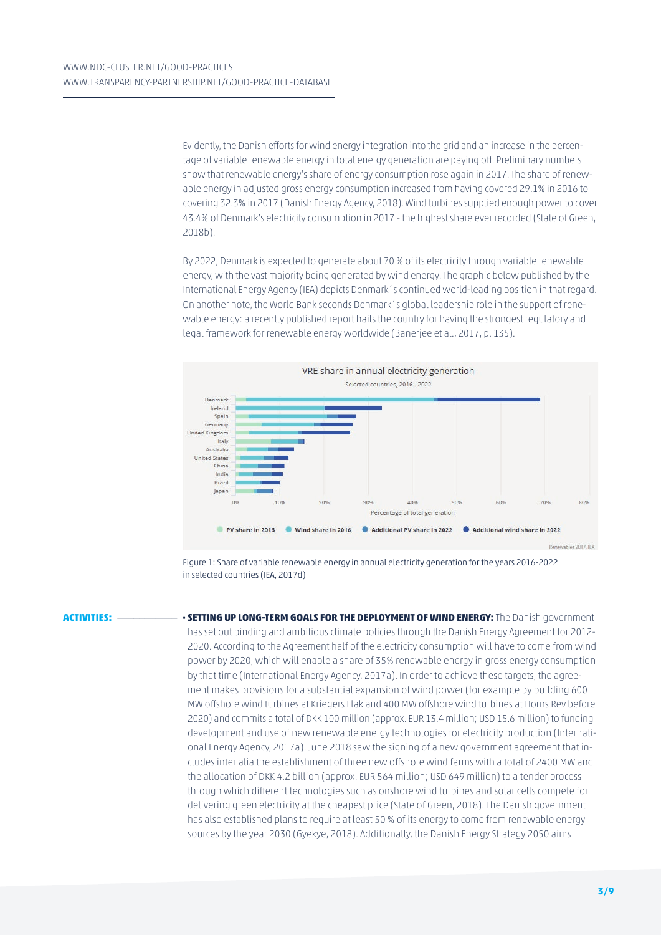Evidently, the Danish efforts for wind energy integration into the grid and an increase in the percentage of variable renewable energy in total energy generation are paying off. Preliminary numbers show that renewable energy's share of energy consumption rose again in 2017. The share of renewable energy in adjusted gross energy consumption increased from having covered 29.1% in 2016 to covering 32.3% in 2017 (Danish Energy Agency, 2018). Wind turbines supplied enough power to cover 43.4% of Denmark's electricity consumption in 2017 - the highest share ever recorded (State of Green, 2018b).

By 2022, Denmark is expected to generate about 70 % of its electricity through variable renewable energy, with the vast majority being generated by wind energy. The graphic below published by the International Energy Agency (IEA) depicts Denmark´s continued world-leading position in that regard. On another note, the World Bank seconds Denmark´s global leadership role in the support of renewable energy: a recently published report hails the country for having the strongest regulatory and legal framework for renewable energy worldwide (Banerjee et al., 2017, p. 135).



Figure 1: Share of variable renewable energy in annual electricity generation for the years 2016-2022 in selected countries (IEA, 2017d)

**ACTIVITIES:** \_\_\_\_\_\_\_\_\_\_\_ **· SETTING UP LONG-TERM GOALS FOR THE DEPLOYMENT OF WIND ENERGY:** The Danish government has set out binding and ambitious climate policies through the Danish Energy Agreement for 2012- 2020. According to the Agreement half of the electricity consumption will have to come from wind power by 2020, which will enable a share of 35% renewable energy in gross energy consumption by that time (International Energy Agency, 2017a). In order to achieve these targets, the agreement makes provisions for a substantial expansion of wind power (for example by building 600 MW offshore wind turbines at Kriegers Flak and 400 MW offshore wind turbines at Horns Rev before 2020) and commits a total of DKK 100 million (approx. EUR 13.4 million; USD 15.6 million) to funding development and use of new renewable energy technologies for electricity production (International Energy Agency, 2017a). June 2018 saw the signing of a new government agreement that includes inter alia the establishment of three new offshore wind farms with a total of 2400 MW and the allocation of DKK 4.2 billion (approx. EUR 564 million; USD 649 million) to a tender process through which different technologies such as onshore wind turbines and solar cells compete for delivering green electricity at the cheapest price (State of Green, 2018). The Danish government has also established plans to require at least 50 % of its energy to come from renewable energy sources by the year 2030 (Gyekye, 2018). Additionally, the Danish Energy Strategy 2050 aims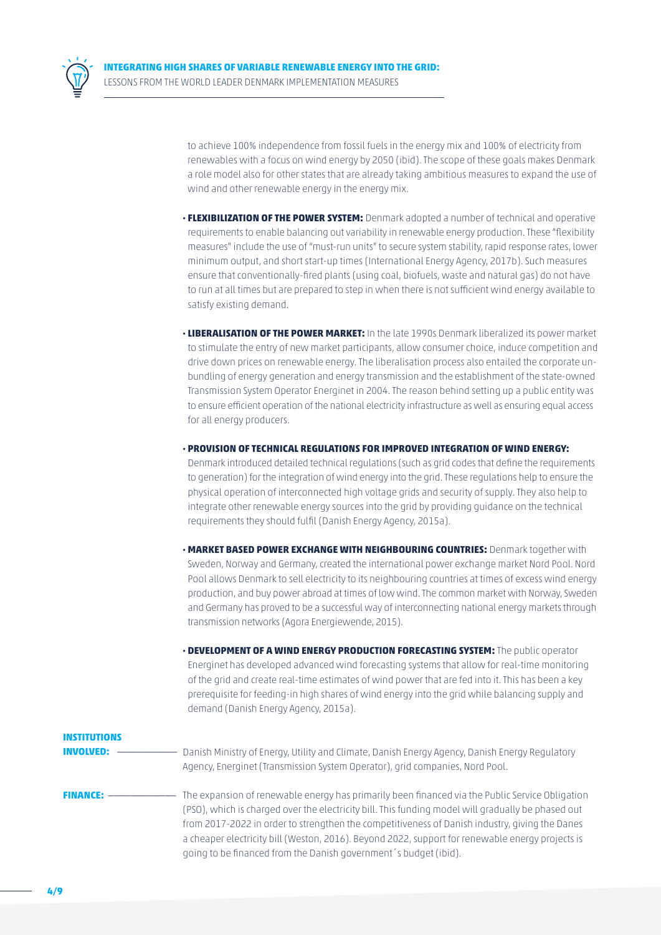

to achieve 100% independence from fossil fuels in the energy mix and 100% of electricity from renewables with a focus on wind energy by 2050 (ibid). The scope of these goals makes Denmark a role model also for other states that are already taking ambitious measures to expand the use of wind and other renewable energy in the energy mix.

- **· FLEXIBILIZATION OF THE POWER SYSTEM:** Denmark adopted a number of technical and operative requirements to enable balancing out variability in renewable energy production. These "flexibility measures" include the use of "must-run units" to secure system stability, rapid response rates, lower minimum output, and short start-up times (International Energy Agency, 2017b). Such measures ensure that conventionally-fired plants (using coal, biofuels, waste and natural gas) do not have to run at all times but are prepared to step in when there is not sufficient wind energy available to satisfy existing demand.
- **· LIBERALISATION OF THE POWER MARKET:** In the late 1990s Denmark liberalized its power market to stimulate the entry of new market participants, allow consumer choice, induce competition and drive down prices on renewable energy. The liberalisation process also entailed the corporate unbundling of energy generation and energy transmission and the establishment of the state-owned Transmission System Operator Energinet in 2004. The reason behind setting up a public entity was to ensure efficient operation of the national electricity infrastructure as well as ensuring equal access for all energy producers.
- **· PROVISION OF TECHNICAL REGULATIONS FOR IMPROVED INTEGRATION OF WIND ENERGY:** Denmark introduced detailed technical regulations (such as grid codes that define the requirements to generation) for the integration of wind energy into the grid. These regulations help to ensure the physical operation of interconnected high voltage grids and security of supply. They also help to integrate other renewable energy sources into the grid by providing guidance on the technical requirements they should fulfil (Danish Energy Agency, 2015a).
- **· MARKET BASED POWER EXCHANGE WITH NEIGHBOURING COUNTRIES:** Denmark together with Sweden, Norway and Germany, created the international power exchange market Nord Pool. Nord Pool allows Denmark to sell electricity to its neighbouring countries at times of excess wind energy production, and buy power abroad at times of low wind. The common market with Norway, Sweden and Germany has proved to be a successful way of interconnecting national energy markets through transmission networks (Agora Energiewende, 2015).
- **· DEVELOPMENT OF A WIND ENERGY PRODUCTION FORECASTING SYSTEM:** The public operator Energinet has developed advanced wind forecasting systems that allow for real-time monitoring of the grid and create real-time estimates of wind power that are fed into it. This has been a key prerequisite for feeding-in high shares of wind energy into the grid while balancing supply and demand (Danish Energy Agency, 2015a).

| <b>INSTITUTIONS</b>            | Danish Ministry of Energy, Utility and Climate, Danish Energy Agency, Danish Energy Regulatory                                                                                                                                                                                                                                                                                                                                                                                  |
|--------------------------------|---------------------------------------------------------------------------------------------------------------------------------------------------------------------------------------------------------------------------------------------------------------------------------------------------------------------------------------------------------------------------------------------------------------------------------------------------------------------------------|
| <b>INVOLVED:</b>               | Agency, Energinet (Transmission System Operator), grid companies, Nord Pool.                                                                                                                                                                                                                                                                                                                                                                                                    |
| <b>FINANCE: --------------</b> | The expansion of renewable energy has primarily been financed via the Public Service Obligation<br>(PSO), which is charged over the electricity bill. This funding model will gradually be phased out<br>from 2017-2022 in order to strengthen the competitiveness of Danish industry, giving the Danes<br>a cheaper electricity bill (Weston, 2016). Beyond 2022, support for renewable energy projects is<br>going to be financed from the Danish government's budget (ibid). |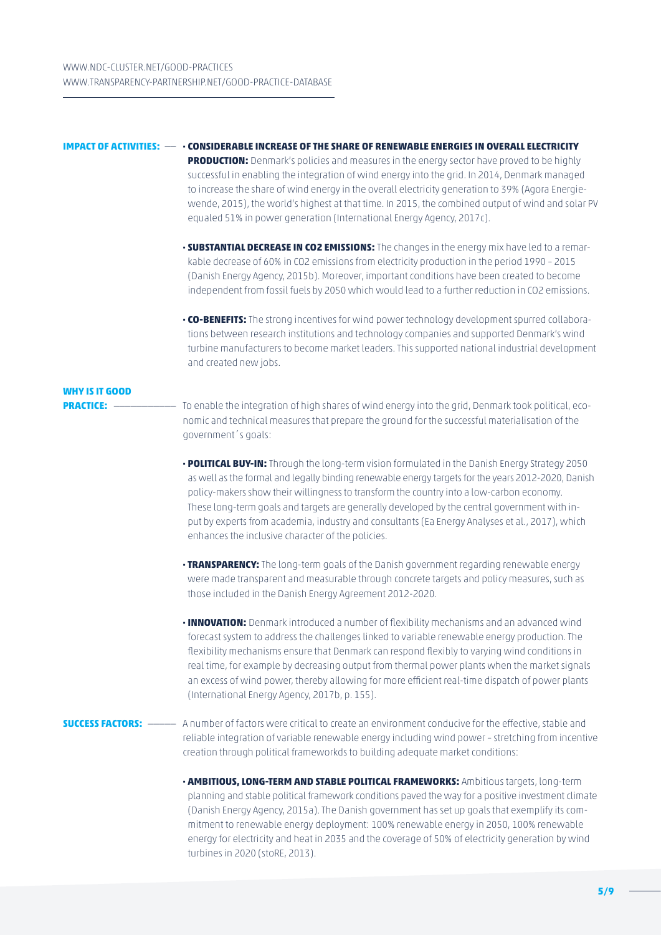### **IMPACT OF ACTIVITIES:** \_\_ **· CONSIDERABLE INCREASE OF THE SHARE OF RENEWABLE ENERGIES IN OVERALL ELECTRICITY PRODUCTION:** Denmark's policies and measures in the energy sector have proved to be highly successful in enabling the integration of wind energy into the grid. In 2014, Denmark managed to increase the share of wind energy in the overall electricity generation to 39% (Agora Energiewende, 2015), the world's highest at that time. In 2015, the combined output of wind and solar PV equaled 51% in power generation (International Energy Agency, 2017c).

- **· SUBSTANTIAL DECREASE IN CO2 EMISSIONS:** The changes in the energy mix have led to a remarkable decrease of 60% in CO2 emissions from electricity production in the period 1990 – 2015 (Danish Energy Agency, 2015b). Moreover, important conditions have been created to become independent from fossil fuels by 2050 which would lead to a further reduction in CO2 emissions.
- **· CO-BENEFITS:** The strong incentives for wind power technology development spurred collaborations between research institutions and technology companies and supported Denmark's wind turbine manufacturers to become market leaders. This supported national industrial development and created new jobs.

## **WHY IS IT GOOD**

- **PRACTICE:** \_\_\_\_\_\_\_\_\_\_\_\_\_\_ To enable the integration of high shares of wind energy into the grid, Denmark took political, economic and technical measures that prepare the ground for the successful materialisation of the government´s goals:
	- **· POLITICAL BUY-IN:** Through the long-term vision formulated in the Danish Energy Strategy 2050 as well as the formal and legally binding renewable energy targets for the years 2012-2020, Danish policy-makers show their willingness to transform the country into a low-carbon economy. These long-term goals and targets are generally developed by the central government with input by experts from academia, industry and consultants (Ea Energy Analyses et al., 2017), which enhances the inclusive character of the policies.
	- **· TRANSPARENCY:** The long-term goals of the Danish government regarding renewable energy were made transparent and measurable through concrete targets and policy measures, such as those included in the Danish Energy Agreement 2012-2020.
	- **· INNOVATION:** Denmark introduced a number of flexibility mechanisms and an advanced wind forecast system to address the challenges linked to variable renewable energy production. The flexibility mechanisms ensure that Denmark can respond flexibly to varying wind conditions in real time, for example by decreasing output from thermal power plants when the market signals an excess of wind power, thereby allowing for more efficient real-time dispatch of power plants (International Energy Agency, 2017b, p. 155).

### **SUCCESS FACTORS:** \_\_\_\_\_ A number of factors were critical to create an environment conducive for the effective, stable and reliable integration of variable renewable energy including wind power – stretching from incentive creation through political frameworkds to building adequate market conditions:

 **· AMBITIOUS, LONG-TERM AND STABLE POLITICAL FRAMEWORKS:** Ambitious targets, long-term planning and stable political framework conditions paved the way for a positive investment climate (Danish Energy Agency, 2015a). The Danish government has set up goals that exemplify its commitment to renewable energy deployment: 100% renewable energy in 2050, 100% renewable energy for electricity and heat in 2035 and the coverage of 50% of electricity generation by wind turbines in 2020 (stoRE, 2013).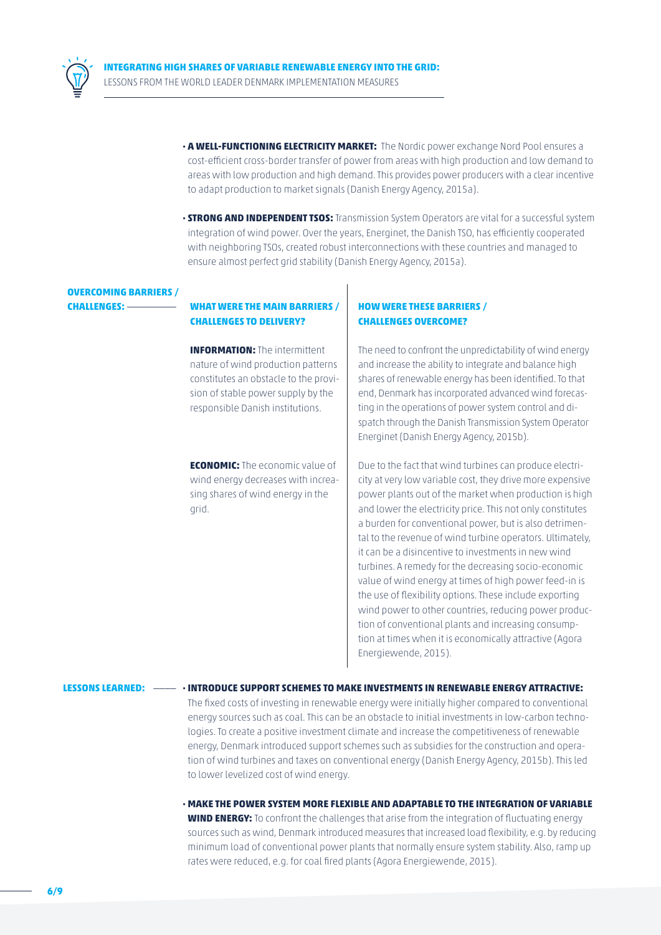

- **· A WELL-FUNCTIONING ELECTRICITY MARKET:** The Nordic power exchange Nord Pool ensures a cost-efficient cross-border transfer of power from areas with high production and low demand to areas with low production and high demand. This provides power producers with a clear incentive to adapt production to market signals (Danish Energy Agency, 2015a).
- **· STRONG AND INDEPENDENT TSOS:** Transmission System Operators are vital for a successful system integration of wind power. Over the years, Energinet, the Danish TSO, has efficiently cooperated with neighboring TSOs, created robust interconnections with these countries and managed to ensure almost perfect grid stability (Danish Energy Agency, 2015a).

## **OVERCOMING BARRIERS /**

### **CHALLENGES:** \_\_\_\_\_\_\_\_\_ **WHAT WERE THE MAIN BARRIERS / CHALLENGES TO DELIVERY?**

**INFORMATION:** The intermittent nature of wind production patterns constitutes an obstacle to the provision of stable power supply by the responsible Danish institutions.

**ECONOMIC:** The economic value of wind energy decreases with increasing shares of wind energy in the grid.

#### **HOW WERE THESE BARRIERS / CHALLENGES OVERCOME?**

The need to confront the unpredictability of wind energy and increase the ability to integrate and balance high shares of renewable energy has been identified. To that end, Denmark has incorporated advanced wind forecasting in the operations of power system control and dispatch through the Danish Transmission System Operator Energinet (Danish Energy Agency, 2015b).

Due to the fact that wind turbines can produce electricity at very low variable cost, they drive more expensive power plants out of the market when production is high and lower the electricity price. This not only constitutes a burden for conventional power, but is also detrimental to the revenue of wind turbine operators. Ultimately, it can be a disincentive to investments in new wind turbines. A remedy for the decreasing socio-economic value of wind energy at times of high power feed-in is the use of flexibility options. These include exporting wind power to other countries, reducing power production of conventional plants and increasing consumption at times when it is economically attractive (Agora Energiewende, 2015).

**LESSONS LEARNED:** \_\_\_\_ **· INTRODUCE SUPPORT SCHEMES TO MAKE INVESTMENTS IN RENEWABLE ENERGY ATTRACTIVE:** The fixed costs of investing in renewable energy were initially higher compared to conventional energy sources such as coal. This can be an obstacle to initial investments in low-carbon technologies. To create a positive investment climate and increase the competitiveness of renewable energy, Denmark introduced support schemes such as subsidies for the construction and operation of wind turbines and taxes on conventional energy (Danish Energy Agency, 2015b). This led to lower levelized cost of wind energy.

> **· MAKE THE POWER SYSTEM MORE FLEXIBLE AND ADAPTABLE TO THE INTEGRATION OF VARIABLE WIND ENERGY:** To confront the challenges that arise from the integration of fluctuating energy sources such as wind, Denmark introduced measures that increased load flexibility, e.g. by reducing minimum load of conventional power plants that normally ensure system stability. Also, ramp up rates were reduced, e.g. for coal fired plants (Agora Energiewende, 2015).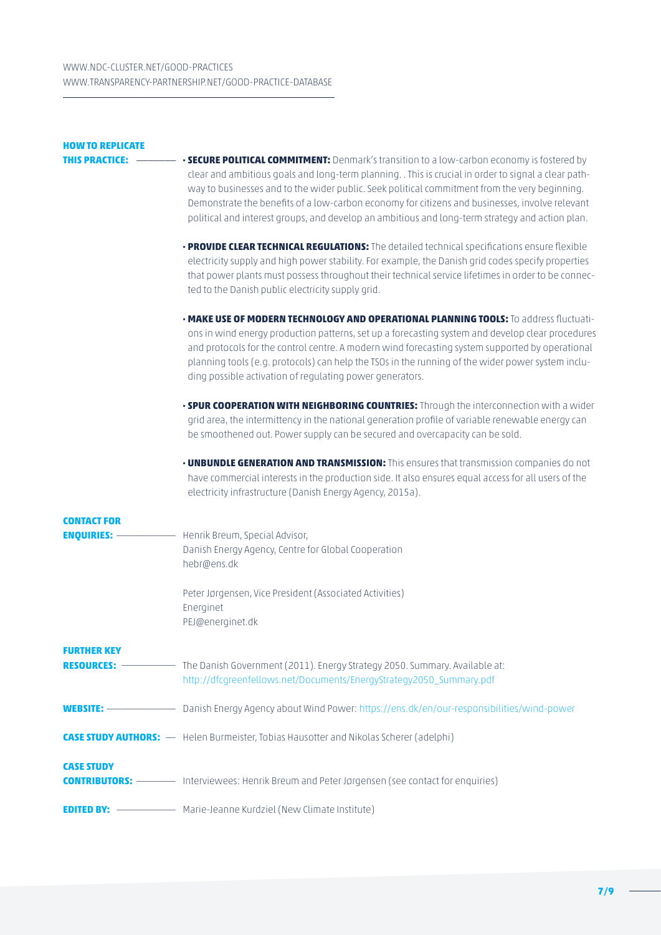| <b>HOW TO REPLICATE</b><br>THIS PRACTICE: | • SECURE POLITICAL COMMITMENT: Denmark's transition to a low-carbon economy is fostered by                                                                                                                                                                                                                                                                                                                                                                    |
|-------------------------------------------|---------------------------------------------------------------------------------------------------------------------------------------------------------------------------------------------------------------------------------------------------------------------------------------------------------------------------------------------------------------------------------------------------------------------------------------------------------------|
|                                           | clear and ambitious goals and long-term planning. . This is crucial in order to signal a clear path-<br>way to businesses and to the wider public. Seek political commitment from the very beginning.<br>Demonstrate the benefits of a low-carbon economy for citizens and businesses, involve relevant<br>political and interest groups, and develop an ambitious and long-term strategy and action plan.                                                    |
|                                           | · PROVIDE CLEAR TECHNICAL REGULATIONS: The detailed technical specifications ensure flexible<br>electricity supply and high power stability. For example, the Danish grid codes specify properties<br>that power plants must possess throughout their technical service lifetimes in order to be connec-<br>ted to the Danish public electricity supply grid.                                                                                                 |
|                                           | . MAKE USE OF MODERN TECHNOLOGY AND OPERATIONAL PLANNING TOOLS: To address fluctuati-<br>ons in wind energy production patterns, set up a forecasting system and develop clear procedures<br>and protocols for the control centre. A modern wind forecasting system supported by operational<br>planning tools (e.g. protocols) can help the TSOs in the running of the wider power system inclu-<br>ding possible activation of regulating power generators. |
|                                           | . SPUR COOPERATION WITH NEIGHBORING COUNTRIES: Through the interconnection with a wider<br>grid area, the intermittency in the national generation profile of variable renewable energy can<br>be smoothened out. Power supply can be secured and overcapacity can be sold.                                                                                                                                                                                   |
|                                           | • UNBUNDLE GENERATION AND TRANSMISSION: This ensures that transmission companies do not<br>have commercial interests in the production side. It also ensures equal access for all users of the<br>electricity infrastructure (Danish Energy Agency, 2015a).                                                                                                                                                                                                   |
| <b>CONTACT FOR</b><br><b>ENQUIRIES: -</b> | Henrik Breum, Special Advisor,<br>Danish Energy Agency, Centre for Global Cooperation<br>hebr@ens.dk                                                                                                                                                                                                                                                                                                                                                          |
|                                           | Peter Jørgensen, Vice President (Associated Activities)<br>Energinet<br>PEJ@energinet.dk                                                                                                                                                                                                                                                                                                                                                                      |
| FURTHER KEY                               | http://dfcgreenfellows.net/Documents/EnergyStrategy2050_Summary.pdf                                                                                                                                                                                                                                                                                                                                                                                           |
|                                           | <b>WEBSITE:</b> Danish Energy Agency about Wind Power: https://ens.dk/en/our-responsibilities/wind-power                                                                                                                                                                                                                                                                                                                                                      |
|                                           | CASE STUDY AUTHORS: — Helen Burmeister, Tobias Hausotter and Nikolas Scherer (adelphi)                                                                                                                                                                                                                                                                                                                                                                        |
| <b>CASE STUDY</b>                         | <b>CONTRIBUTORS:</b> ———— Interviewees: Henrik Breum and Peter Jørgensen (see contact for enquiries)                                                                                                                                                                                                                                                                                                                                                          |
|                                           | <b>EDITED BY:</b> --------------------- Marie-Jeanne Kurdziel (New Climate Institute)                                                                                                                                                                                                                                                                                                                                                                         |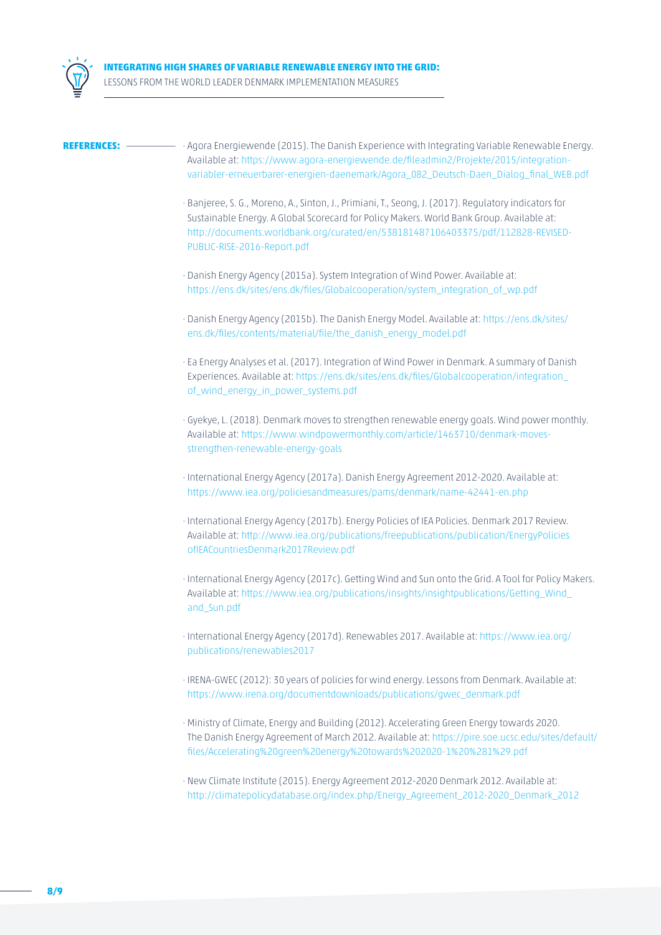



- **REFERENCES:** \_\_\_\_\_\_\_\_\_\_ · Agora Energiewende (2015). The Danish Experience with Integrating Variable Renewable Energy. Available at: [https://www.agora-energiewende.de/fileadmin2/Projekte/2015/integration](https://www.agora-energiewende.de/fileadmin2/Projekte/2015/integration-variabler-erneuerbarer-energien-daenemark/Agora_082_Deutsch-Daen_Dialog_final_WEB.pdf)[variabler-erneuerbarer-energien-daenemark/Agora\\_082\\_Deutsch-Daen\\_Dialog\\_final\\_WEB.pdf](https://www.agora-energiewende.de/fileadmin2/Projekte/2015/integration-variabler-erneuerbarer-energien-daenemark/Agora_082_Deutsch-Daen_Dialog_final_WEB.pdf)
	- · Banjeree, S. G., Moreno, A., Sinton, J., Primiani, T., Seong, J. (2017). Regulatory indicators for Sustainable Energy. A Global Scorecard for Policy Makers. World Bank Group. Available at: [http://documents.worldbank.org/curated/en/538181487106403375/pdf/112828-REVISED-](http://documents.worldbank.org/curated/en/538181487106403375/pdf/112828-REVISED-PUBLIC-RISE-2016-Report.pdf)[PUBLIC-RISE-2016-Report.pdf](http://documents.worldbank.org/curated/en/538181487106403375/pdf/112828-REVISED-PUBLIC-RISE-2016-Report.pdf)
	- · Danish Energy Agency (2015a). System Integration of Wind Power. Available at: [https://ens.dk/sites/ens.dk/files/Globalcooperation/system\\_integration\\_of\\_wp.pdf](https://ens.dk/sites/ens.dk/files/Globalcooperation/system_integration_of_wp.pdf)
	- · Danish Energy Agency (2015b). The Danish Energy Model. Available at: [https://ens.dk/sites/](https://ens.dk/sites/ens.dk/files/contents/material/file/the_danish_energy_model.pdf) [ens.dk/files/contents/material/file/the\\_danish\\_energy\\_model.pdf](https://ens.dk/sites/ens.dk/files/contents/material/file/the_danish_energy_model.pdf)
	- · Ea Energy Analyses et al. (2017). Integration of Wind Power in Denmark. A summary of Danish Experiences. Available at: [https://ens.dk/sites/ens.dk/files/Globalcooperation/integration\\_](https://ens.dk/sites/ens.dk/files/Globalcooperation/integration_of_wind_energy_in_power_systems.pdf) [of\\_wind\\_energy\\_in\\_power\\_systems.pdf](https://ens.dk/sites/ens.dk/files/Globalcooperation/integration_of_wind_energy_in_power_systems.pdf)
	- · Gyekye, L. (2018). Denmark moves to strengthen renewable energy goals. Wind power monthly. Available at: [https://www.windpowermonthly.com/article/1463710/denmark-moves](https://www.windpowermonthly.com/article/1463710/denmark-moves-strengthen-renewable-energy-goals)[strengthen-renewable-energy-goals](https://www.windpowermonthly.com/article/1463710/denmark-moves-strengthen-renewable-energy-goals)
	- · International Energy Agency (2017a). Danish Energy Agreement 2012-2020. Available at: <https://www.iea.org/policiesandmeasures/pams/denmark/name-42441-en.php>
	- · International Energy Agency (2017b). Energy Policies of IEA Policies. Denmark 2017 Review. Available at: [http://www.iea.org/publications/freepublications/publication/EnergyPolicies](http://www.iea.org/publications/freepublications/publication/EnergyPoliciesofIEACountriesDenmark2017Review.pdf) [ofIEACountriesDenmark2017Review.pdf](http://www.iea.org/publications/freepublications/publication/EnergyPoliciesofIEACountriesDenmark2017Review.pdf)
	- · International Energy Agency (2017c). Getting Wind and Sun onto the Grid. A Tool for Policy Makers. Available at: [https://www.iea.org/publications/insights/insightpublications/Getting\\_Wind\\_](https://www.iea.org/publications/insights/insightpublications/Getting_Wind_and_Sun.pdf) [and\\_Sun.pdf](https://www.iea.org/publications/insights/insightpublications/Getting_Wind_and_Sun.pdf)
	- · International Energy Agency (2017d). Renewables 2017. Available at: [https://www.iea.org/](https://www.iea.org/publications/renewables2017/) [publications/renewables2017](https://www.iea.org/publications/renewables2017/)
	- · IRENA-GWEC (2012): 30 years of policies for wind energy. Lessons from Denmark. Available at: [https://www.irena.org/documentdownloads/publications/gwec\\_denmark.pdf](https://www.irena.org/documentdownloads/publications/gwec_denmark.pdf)
	- · Ministry of Climate, Energy and Building (2012). Accelerating Green Energy towards 2020. The Danish Energy Agreement of March 2012. Available at: [https://pire.soe.ucsc.edu/sites/default/](https://pire.soe.ucsc.edu/sites/default/files/Accelerating%20green%20energy%20towards%202020-1%20%281%29.pdf) [files/Accelerating%20green%20energy%20towards%202020-1%20%281%29.pdf](https://pire.soe.ucsc.edu/sites/default/files/Accelerating%20green%20energy%20towards%202020-1%20%281%29.pdf)
	- · New Climate Institute (2015). Energy Agreement 2012-2020 Denmark 2012. Available at: [http://climatepolicydatabase.org/index.php/Energy\\_Agreement\\_2012-2020\\_Denmark\\_2012](http://climatepolicydatabase.org/index.php/Energy_Agreement_2012-2020_Denmark_2012)